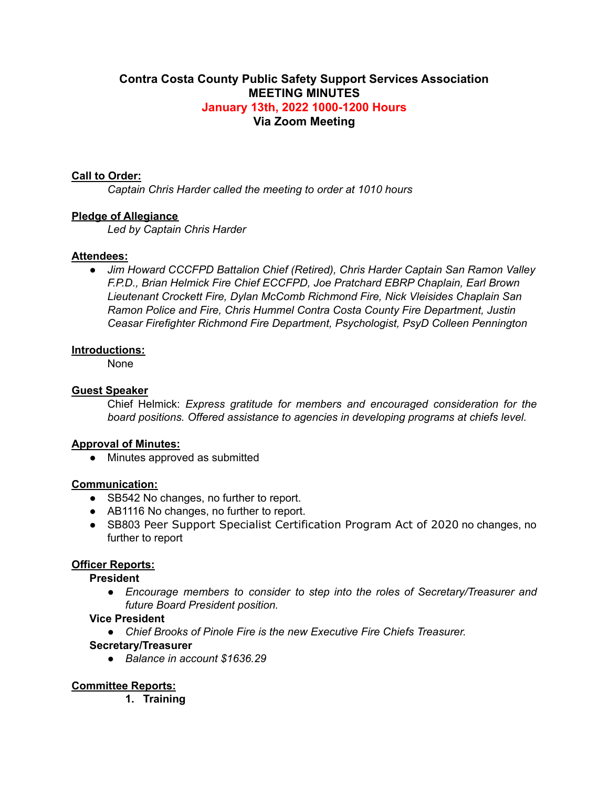## **Contra Costa County Public Safety Support Services Association MEETING MINUTES January 13th, 2022 1000-1200 Hours Via Zoom Meeting**

### **Call to Order:**

*Captain Chris Harder called the meeting to order at 1010 hours*

### **Pledge of Allegiance**

*Led by Captain Chris Harder*

### **Attendees:**

*● Jim Howard CCCFPD Battalion Chief (Retired), Chris Harder Captain San Ramon Valley F.P.D., Brian Helmick Fire Chief ECCFPD, Joe Pratchard EBRP Chaplain, Earl Brown Lieutenant Crockett Fire, Dylan McComb Richmond Fire, Nick Vleisides Chaplain San Ramon Police and Fire, Chris Hummel Contra Costa County Fire Department, Justin Ceasar Firefighter Richmond Fire Department, Psychologist, PsyD Colleen Pennington*

### **Introductions:**

None

### **Guest Speaker**

Chief Helmick: *Express gratitude for members and encouraged consideration for the board positions. Offered assistance to agencies in developing programs at chiefs level.*

#### **Approval of Minutes:**

• Minutes approved as submitted

#### **Communication:**

- SB542 No changes, no further to report.
- AB1116 No changes, no further to report.
- SB803 Peer Support Specialist Certification Program Act of 2020 no changes, no further to report

### **Officer Reports:**

#### **President**

*● Encourage members to consider to step into the roles of Secretary/Treasurer and future Board President position.*

## **Vice President**

*● Chief Brooks of Pinole Fire is the new Executive Fire Chiefs Treasurer.*

# **Secretary/Treasurer**

*● Balance in account \$1636.29*

### **Committee Reports:**

**1. Training**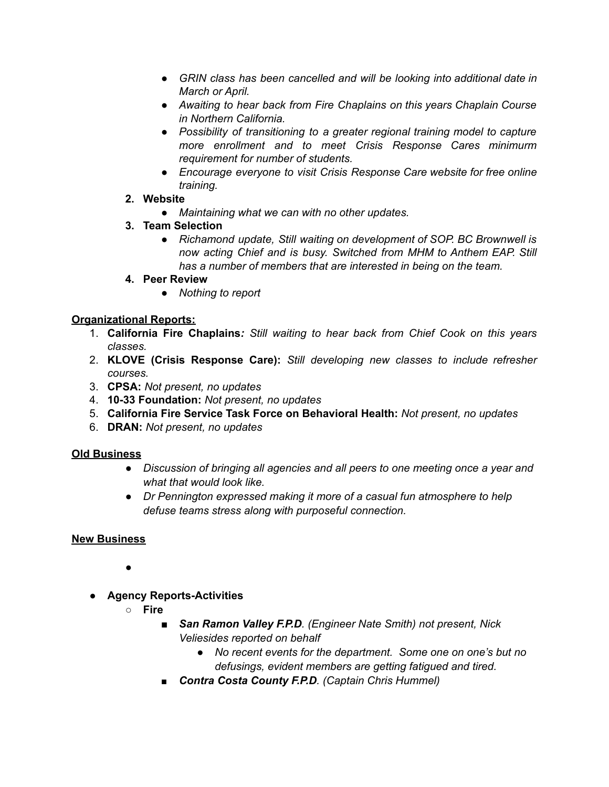- *● GRIN class has been cancelled and will be looking into additional date in March or April.*
- *● Awaiting to hear back from Fire Chaplains on this years Chaplain Course in Northern California.*
- *● Possibility of transitioning to a greater regional training model to capture more enrollment and to meet Crisis Response Cares minimurm requirement for number of students.*
- *● Encourage everyone to visit Crisis Response Care website for free online training.*
- **2. Website**
	- *● Maintaining what we can with no other updates.*
- **3. Team Selection**
	- *● Richamond update, Still waiting on development of SOP. BC Brownwell is now acting Chief and is busy. Switched from MHM to Anthem EAP. Still has a number of members that are interested in being on the team.*
- **4. Peer Review**
	- *● Nothing to report*

# **Organizational Reports:**

- 1. **California Fire Chaplains***: Still waiting to hear back from Chief Cook on this years classes.*
- 2. **KLOVE (Crisis Response Care):** *Still developing new classes to include refresher courses.*
- 3. **CPSA:** *Not present, no updates*
- 4. **10-33 Foundation:** *Not present, no updates*
- 5. **California Fire Service Task Force on Behavioral Health:** *Not present, no updates*
- 6. **DRAN:** *Not present, no updates*

# **Old Business**

- *Discussion of bringing all agencies and all peers to one meeting once a year and what that would look like.*
- *● Dr Pennington expressed making it more of a casual fun atmosphere to help defuse teams stress along with purposeful connection.*

# **New Business**

●

- **Agency Reports-Activities**
	- **○ Fire**
		- *San Ramon Valley F.P.D. (Engineer Nate Smith) not present, Nick Veliesides reported on behalf*
			- *● No recent events for the department. Some one on one's but no defusings, evident members are getting fatigued and tired.*
		- *■ Contra Costa County F.P.D. (Captain Chris Hummel)*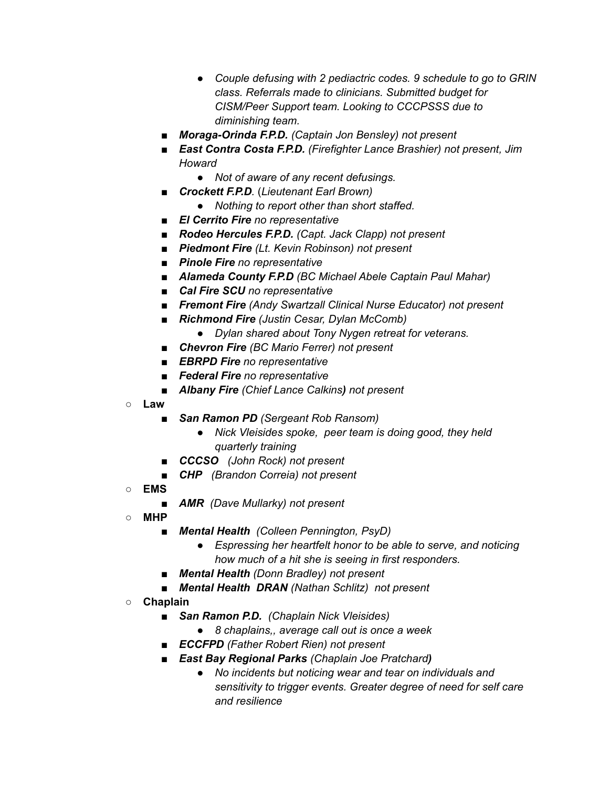- *● Couple defusing with 2 pediactric codes. 9 schedule to go to GRIN class. Referrals made to clinicians. Submitted budget for CISM/Peer Support team. Looking to CCCPSSS due to diminishing team.*
- *Moraga-Orinda F.P.D. (Captain Jon Bensley) not present*
- *East Contra Costa F.P.D. (Firefighter Lance Brashier) not present, Jim Howard*
	- *● Not of aware of any recent defusings.*
- *Crockett F.P.D.* (*Lieutenant Earl Brown)*
	- *● Nothing to report other than short staffed.*
- *El Cerrito Fire no representative*
- *Rodeo Hercules F.P.D. (Capt. Jack Clapp) not present*
- *Piedmont Fire (Lt. Kevin Robinson) not present*
- *Pinole Fire no representative*
- *■ Alameda County F.P.D (BC Michael Abele Captain Paul Mahar)*
- *Cal Fire SCU no representative*
- *■ Fremont Fire (Andy Swartzall Clinical Nurse Educator) not present*
- *■ Richmond Fire (Justin Cesar, Dylan McComb)*
	- *● Dylan shared about Tony Nygen retreat for veterans.*
- *■ Chevron Fire (BC Mario Ferrer) not present*
- *■ EBRPD Fire no representative*
- *■ Federal Fire no representative*
- *■ Albany Fire (Chief Lance Calkins) not present*
- **○ Law**
	- *San Ramon PD (Sergeant Rob Ransom)* 
		- *Nick Vleisides spoke, peer team is doing good, they held quarterly training*
	- *■ CCCSO (John Rock) not present*
	- *CHP (Brandon Correia) not present*
- **○ EMS**
	- *AMR (Dave Mullarky) not present*
- **○ MHP**
	- *■ Mental Health (Colleen Pennington, PsyD)*
		- *● Espressing her heartfelt honor to be able to serve, and noticing how much of a hit she is seeing in first responders.*
	- *■ Mental Health (Donn Bradley) not present*
	- *■ Mental Health DRAN (Nathan Schlitz) not present*
- **○ Chaplain**
	- *■ San Ramon P.D. (Chaplain Nick Vleisides)*
		- *● 8 chaplains,, average call out is once a week*
	- *■ ECCFPD (Father Robert Rien) not present*
	- *■ East Bay Regional Parks (Chaplain Joe Pratchard)*
		- *● No incidents but noticing wear and tear on individuals and sensitivity to trigger events. Greater degree of need for self care and resilience*